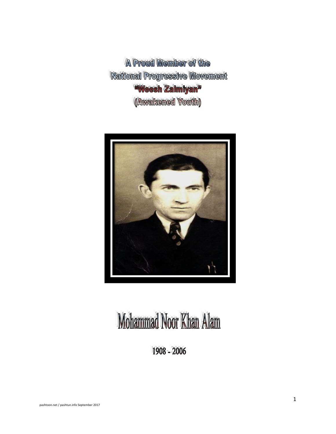A Proud Member of the National Progressive Movement **"Weesh Zalmiyan"** (Awakened Youth)



## Mohammad Noor Khan Alam

1908 - 2006